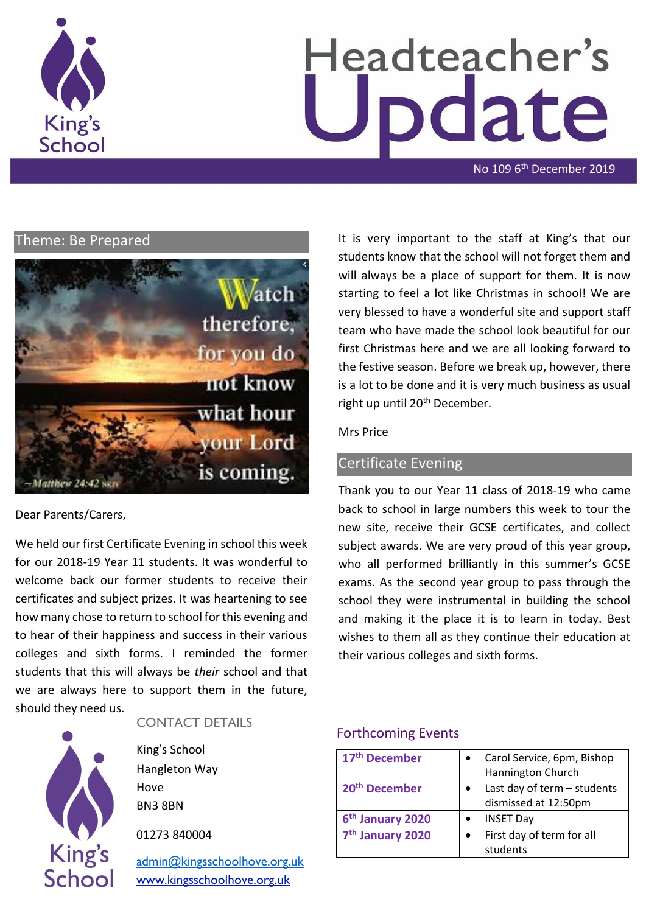

# Headteacher's odate

No 109 6<sup>th</sup> December 2019

## Theme: Be Prepared



Dear Parents/Carers,

We held our first Certificate Evening in school this week for our 2018-19 Year 11 students. It was wonderful to welcome back our former students to receive their certificates and subject prizes. It was heartening to see how many chose to return to school for this evening and to hear of their happiness and success in their various colleges and sixth forms. I reminded the former students that this will always be *their* school and that we are always here to support them in the future, should they need us.



#### CONTACT DETAILS

King's School Hangleton Way Hove BN3 8BN

01273 840004

[admin@kingsschoolhove.org.uk](mailto:admin@kingsschoolhove.org.uk) [www.kingsschoolhove.org.uk](http://www.kingsschoolhove.org.uk/)

It is very important to the staff at King's that our students know that the school will not forget them and will always be a place of support for them. It is now starting to feel a lot like Christmas in school! We are very blessed to have a wonderful site and support staff team who have made the school look beautiful for our first Christmas here and we are all looking forward to the festive season. Before we break up, however, there is a lot to be done and it is very much business as usual right up until 20<sup>th</sup> December.

#### Mrs Price

# Certificate Evening

Thank you to our Year 11 class of 2018-19 who came back to school in large numbers this week to tour the new site, receive their GCSE certificates, and collect subject awards. We are very proud of this year group, who all performed brilliantly in this summer's GCSE exams. As the second year group to pass through the school they were instrumental in building the school and making it the place it is to learn in today. Best wishes to them all as they continue their education at their various colleges and sixth forms.

#### Forthcoming Events

| 17 <sup>th</sup> December    | Carol Service, 6pm, Bishop  |
|------------------------------|-----------------------------|
|                              | Hannington Church           |
| 20 <sup>th</sup> December    | Last day of term - students |
|                              | dismissed at 12:50pm        |
| 6 <sup>th</sup> January 2020 | <b>INSET Day</b>            |
| 7 <sup>th</sup> January 2020 | First day of term for all   |
|                              | students                    |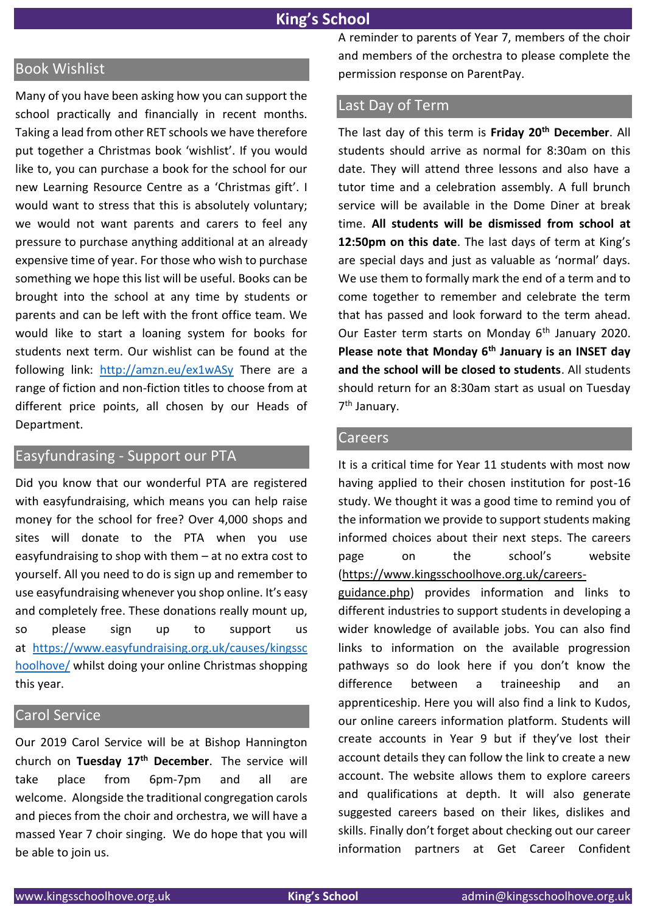# **King's School**

# Book Wishlist

Many of you have been asking how you can support the school practically and financially in recent months. Taking a lead from other RET schools we have therefore put together a Christmas book 'wishlist'. If you would like to, you can purchase a book for the school for our new Learning Resource Centre as a 'Christmas gift'. I would want to stress that this is absolutely voluntary; we would not want parents and carers to feel any pressure to purchase anything additional at an already expensive time of year. For those who wish to purchase something we hope this list will be useful. Books can be brought into the school at any time by students or parents and can be left with the front office team. We would like to start a loaning system for books for students next term. Our wishlist can be found at the following link: <http://amzn.eu/ex1wASy> There are a range of fiction and non-fiction titles to choose from at different price points, all chosen by our Heads of Department.

#### Easyfundrasing - Support our PTA

Did you know that our wonderful PTA are registered with easyfundraising, which means you can help raise money for the school for free? Over 4,000 shops and sites will donate to the PTA when you use easyfundraising to shop with them – at no extra cost to yourself. All you need to do is sign up and remember to use easyfundraising whenever you shop online. It's easy and completely free. These donations really mount up, so please sign up to support us at [https://www.easyfundraising.org.uk/causes/kingssc](https://www.easyfundraising.org.uk/causes/kingsschoolhove/) [hoolhove/](https://www.easyfundraising.org.uk/causes/kingsschoolhove/) whilst doing your online Christmas shopping this year.

#### Carol Service

Our 2019 Carol Service will be at Bishop Hannington church on **Tuesday 17th December**. The service will take place from 6pm-7pm and all are welcome. Alongside the traditional congregation carols and pieces from the choir and orchestra, we will have a massed Year 7 choir singing. We do hope that you will be able to join us.

A reminder to parents of Year 7, members of the choir and members of the orchestra to please complete the permission response on ParentPay.

## Last Day of Term

The last day of this term is **Friday 20th December**. All students should arrive as normal for 8:30am on this date. They will attend three lessons and also have a tutor time and a celebration assembly. A full brunch service will be available in the Dome Diner at break time. **All students will be dismissed from school at 12:50pm on this date**. The last days of term at King's are special days and just as valuable as 'normal' days. We use them to formally mark the end of a term and to come together to remember and celebrate the term that has passed and look forward to the term ahead. Our Easter term starts on Monday 6<sup>th</sup> January 2020. **Please note that Monday 6th January is an INSET day and the school will be closed to students**. All students should return for an 8:30am start as usual on Tuesday 7<sup>th</sup> January.

#### **Careers**

It is a critical time for Year 11 students with most now having applied to their chosen institution for post-16 study. We thought it was a good time to remind you of the information we provide to support students making informed choices about their next steps. The careers page on the school's website [\(https://www.kingsschoolhove.org.uk/careers-](https://www.kingsschoolhove.org.uk/careers-guidance.php)

[guidance.php\)](https://www.kingsschoolhove.org.uk/careers-guidance.php) provides information and links to different industries to support students in developing a wider knowledge of available jobs. You can also find links to information on the available progression pathways so do look here if you don't know the difference between a traineeship and an apprenticeship. Here you will also find a link to Kudos, our online careers information platform. Students will create accounts in Year 9 but if they've lost their account details they can follow the link to create a new account. The website allows them to explore careers and qualifications at depth. It will also generate suggested careers based on their likes, dislikes and skills. Finally don't forget about checking out our career information partners at Get Career Confident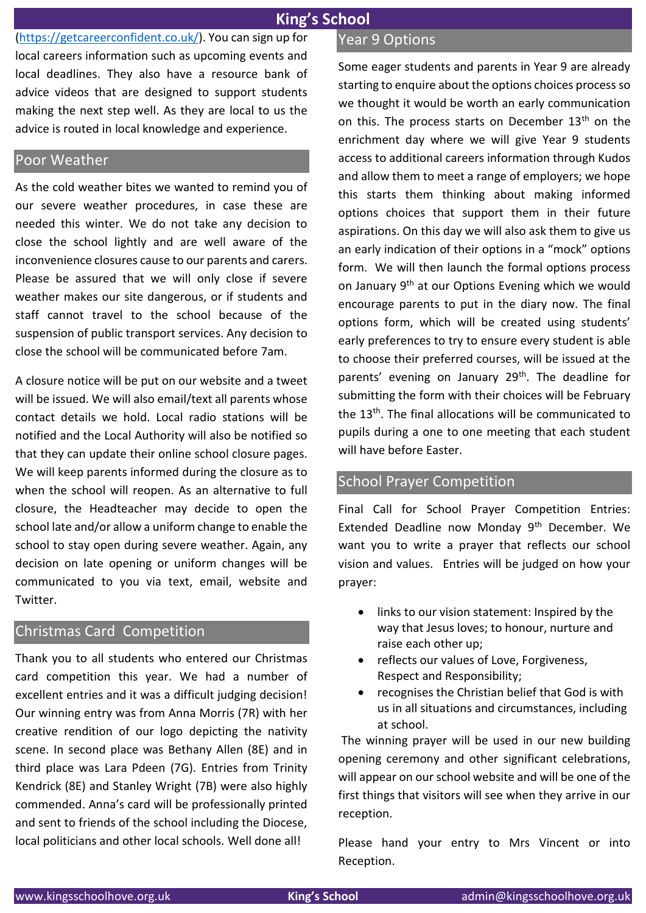[\(https://getcareerconfident.co.uk/\)](https://getcareerconfident.co.uk/). You can sign up for local careers information such as upcoming events and local deadlines. They also have a resource bank of advice videos that are designed to support students making the next step well. As they are local to us the advice is routed in local knowledge and experience.

#### Poor Weather

As the cold weather bites we wanted to remind you of our severe weather procedures, in case these are needed this winter. We do not take any decision to close the school lightly and are well aware of the inconvenience closures cause to our parents and carers. Please be assured that we will only close if severe weather makes our site dangerous, or if students and staff cannot travel to the school because of the suspension of public transport services. Any decision to close the school will be communicated before 7am.

A closure notice will be put on our website and a tweet will be issued. We will also email/text all parents whose contact details we hold. Local radio stations will be notified and the Local Authority will also be notified so that they can update their online school closure pages. We will keep parents informed during the closure as to when the school will reopen. As an alternative to full closure, the Headteacher may decide to open the school late and/or allow a uniform change to enable the school to stay open during severe weather. Again, any decision on late opening or uniform changes will be communicated to you via text, email, website and Twitter.

# Christmas Card Competition

Thank you to all students who entered our Christmas card competition this year. We had a number of excellent entries and it was a difficult judging decision! Our winning entry was from Anna Morris (7R) with her creative rendition of our logo depicting the nativity scene. In second place was Bethany Allen (8E) and in third place was Lara Pdeen (7G). Entries from Trinity Kendrick (8E) and Stanley Wright (7B) were also highly commended. Anna's card will be professionally printed and sent to friends of the school including the Diocese, local politicians and other local schools. Well done all!

# Year 9 Options

Some eager students and parents in Year 9 are already starting to enquire about the options choices process so we thought it would be worth an early communication on this. The process starts on December 13<sup>th</sup> on the enrichment day where we will give Year 9 students access to additional careers information through Kudos and allow them to meet a range of employers; we hope this starts them thinking about making informed options choices that support them in their future aspirations. On this day we will also ask them to give us an early indication of their options in a "mock" options form. We will then launch the formal options process on January 9<sup>th</sup> at our Options Evening which we would encourage parents to put in the diary now. The final options form, which will be created using students' early preferences to try to ensure every student is able to choose their preferred courses, will be issued at the parents' evening on January 29<sup>th</sup>. The deadline for submitting the form with their choices will be February the 13th. The final allocations will be communicated to pupils during a one to one meeting that each student will have before Easter.

### School Prayer Competition

Final Call for School Prayer Competition Entries: Extended Deadline now Monday 9<sup>th</sup> December. We want you to write a prayer that reflects our school vision and values. Entries will be judged on how your prayer:

- links to our vision statement: Inspired by the way that Jesus loves; to honour, nurture and raise each other up;
- reflects our values of Love, Forgiveness, Respect and Responsibility;
- recognises the Christian belief that God is with us in all situations and circumstances, including at school.

The winning prayer will be used in our new building opening ceremony and other significant celebrations, will appear on our school website and will be one of the first things that visitors will see when they arrive in our reception.

Please hand your entry to Mrs Vincent or into Reception.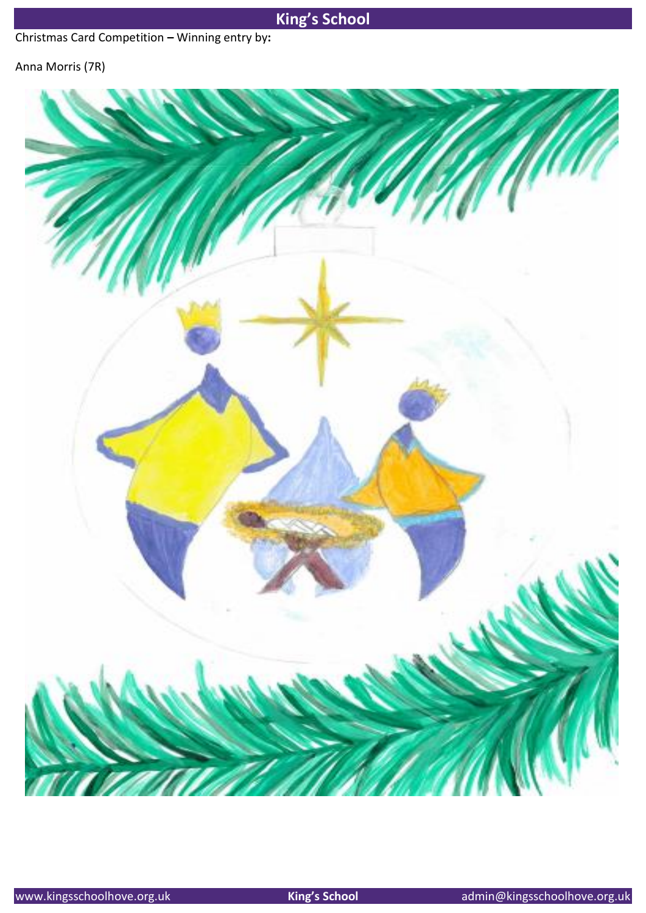# **King's School**

Christmas Card Competition **–** Winning entry by**:** 

# Anna Morris (7R)